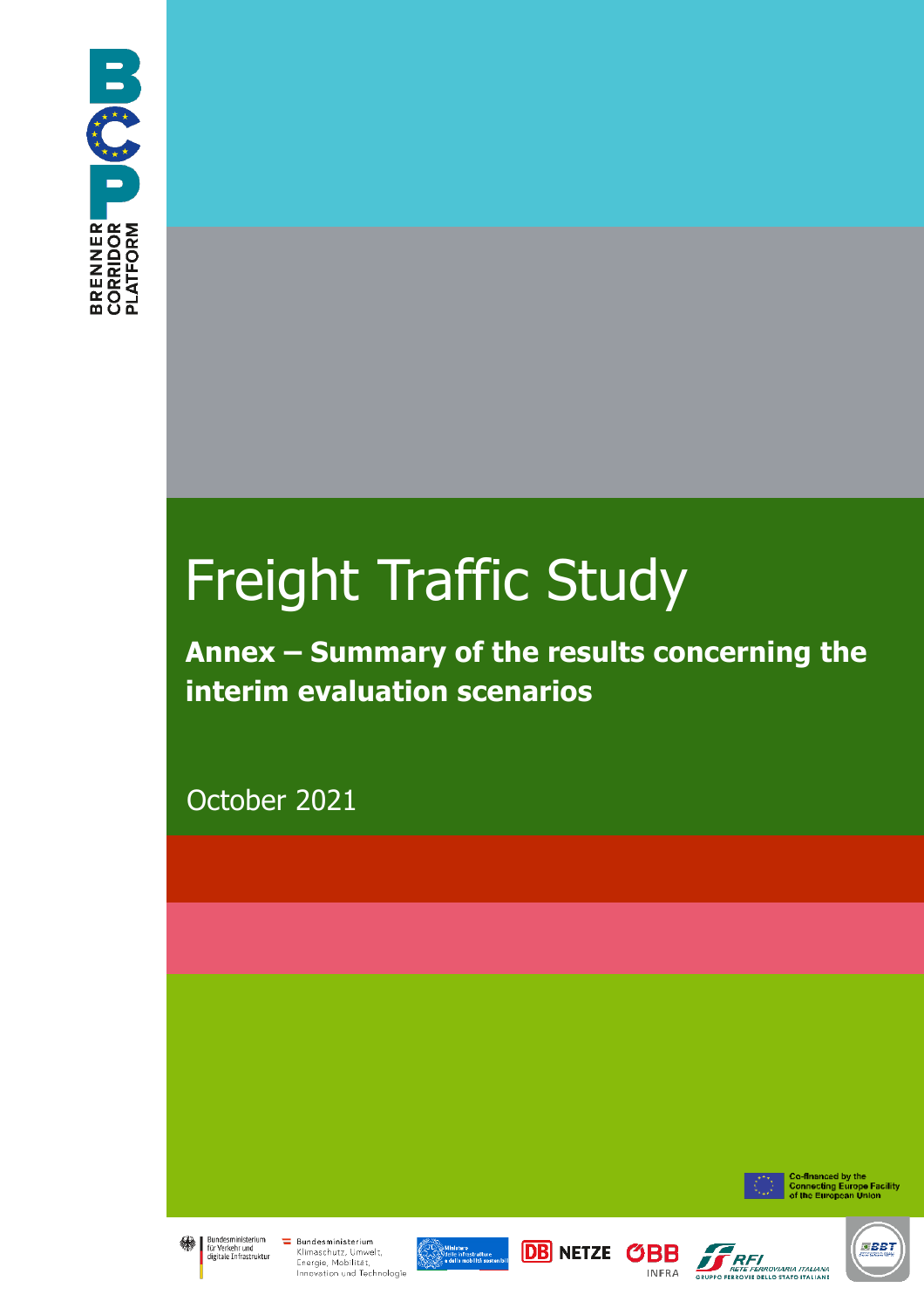

# Freight Traffic Study

**Annex – Summary of the results concerning the interim evaluation scenarios**

October 2021



Co-financed by the<br>Connecting Europe Facility<br>of the European Union



**Example System Exercise Constant Constrainer**<br>The für Verkehr und Klimaschutz, Umwe<br>Engraie Mobilität Klimaschutz, Umwelt, Energie, Mobilität,<br>Innovation und Technologie







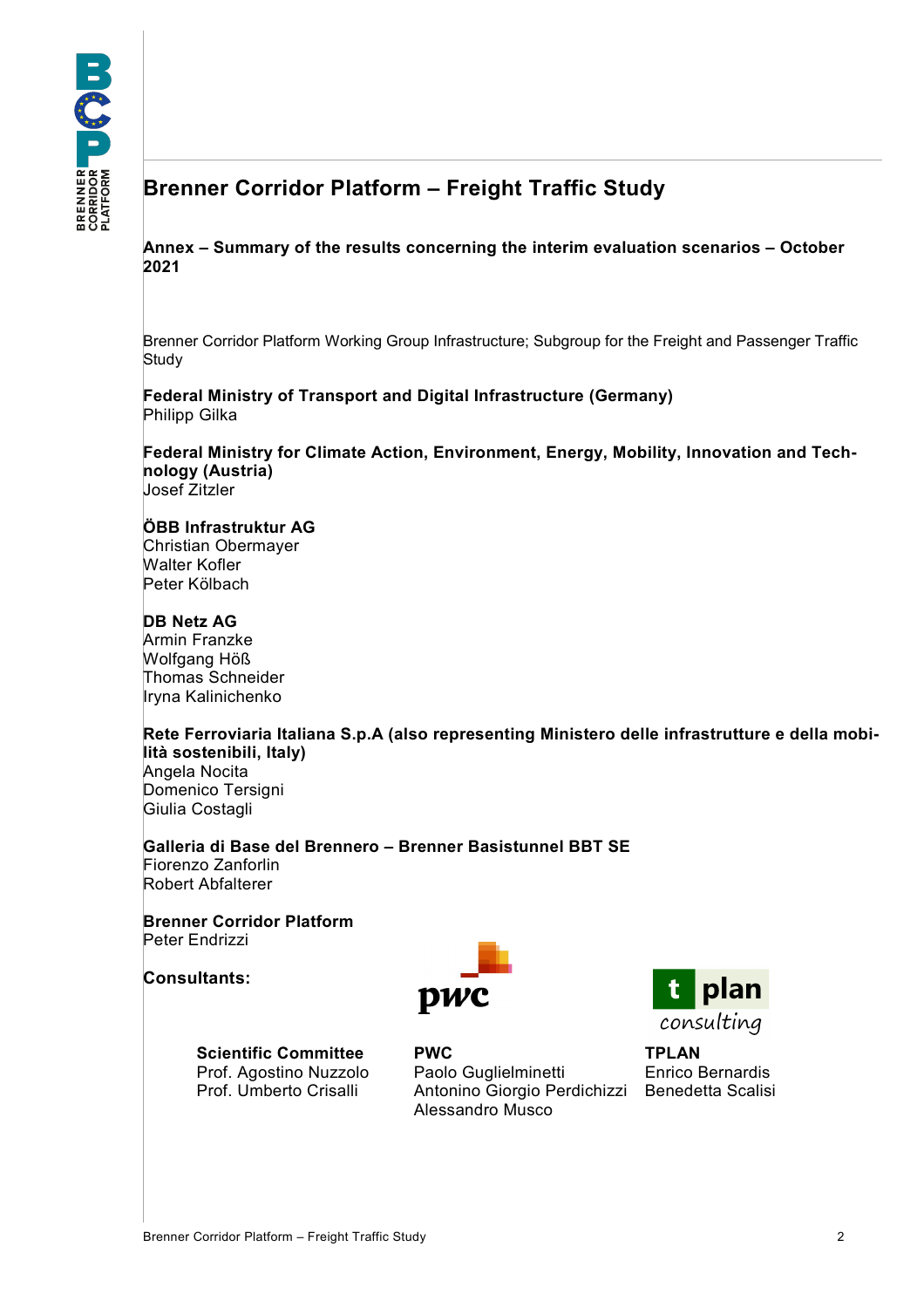## **Brenner Corridor Platform – Freight Traffic Study**

**Annex – Summary of the results concerning the interim evaluation scenarios – October 2021**

Brenner Corridor Platform Working Group Infrastructure; Subgroup for the Freight and Passenger Traffic **Study** 

**Federal Ministry of Transport and Digital Infrastructure (Germany)** Philipp Gilka

**Federal Ministry for Climate Action, Environment, Energy, Mobility, Innovation and Technology (Austria)** Josef Zitzler

#### **ÖBB Infrastruktur AG**

Christian Obermayer Walter Kofler Peter Kölbach

#### **DB Netz AG**

Armin Franzke Wolfgang Höß Thomas Schneider Iryna Kalinichenko

**Rete Ferroviaria Italiana S.p.A (also representing Ministero delle infrastrutture e della mobilità sostenibili, Italy)** Angela Nocita Domenico Tersigni Giulia Costagli

**Galleria di Base del Brennero – Brenner Basistunnel BBT SE** Fiorenzo Zanforlin Robert Abfalterer

**Brenner Corridor Platform** Peter Endrizzi

**Consultants:**



Prof. Agostino Nuzzolo Prof. Umberto Crisalli

**Scientific Committee PWC TPLAN** Paolo Guglielminetti Antonino Giorgio Perdichizzi Alessandro Musco



Enrico Bernardis Benedetta Scalisi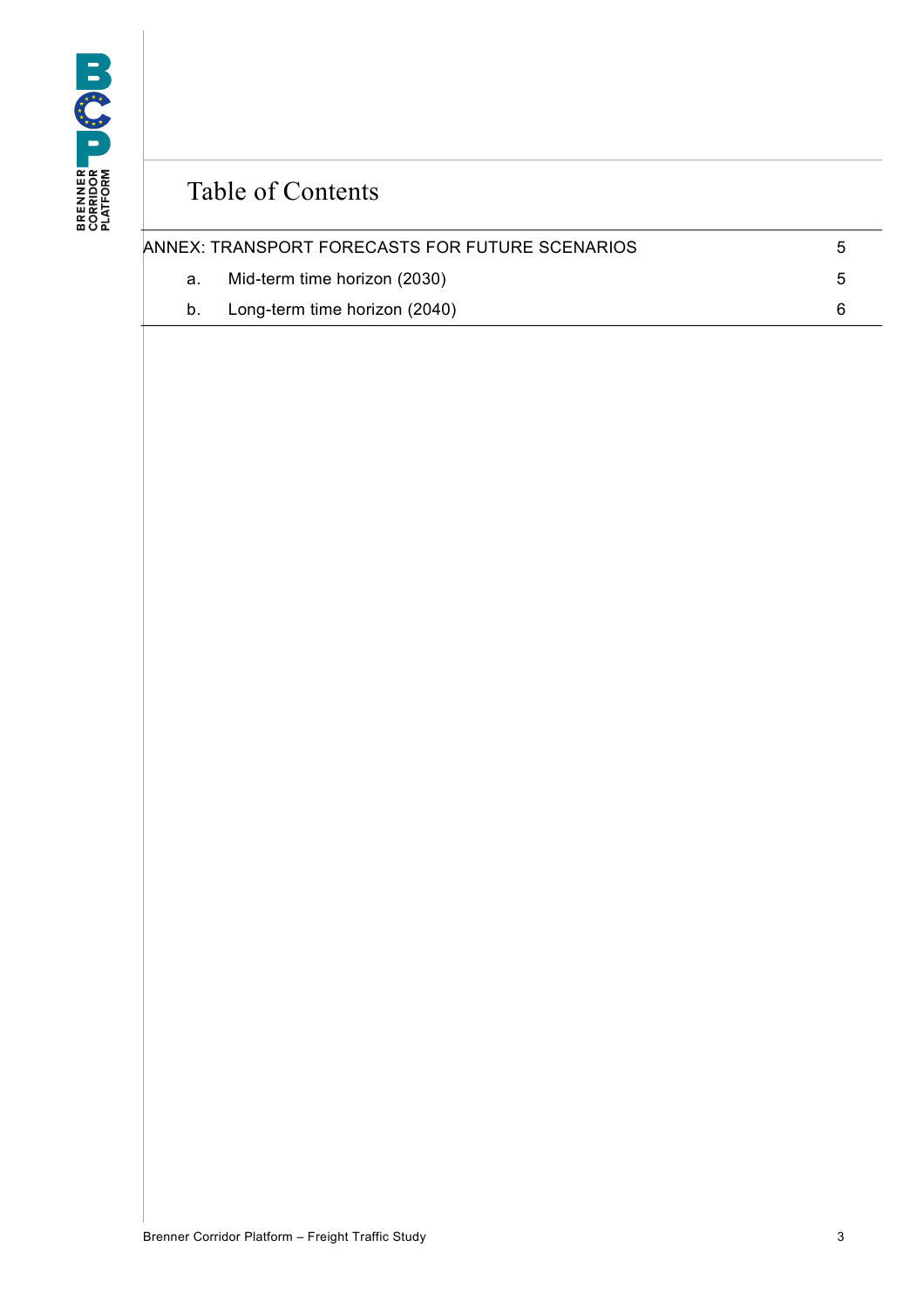

# Table of Contents

|    | ANNEX: TRANSPORT FORECASTS FOR FUTURE SCENARIOS | h   |
|----|-------------------------------------------------|-----|
| а. | Mid-term time horizon (2030)                    | _ Б |
|    | b. Long-term time horizon (2040)                |     |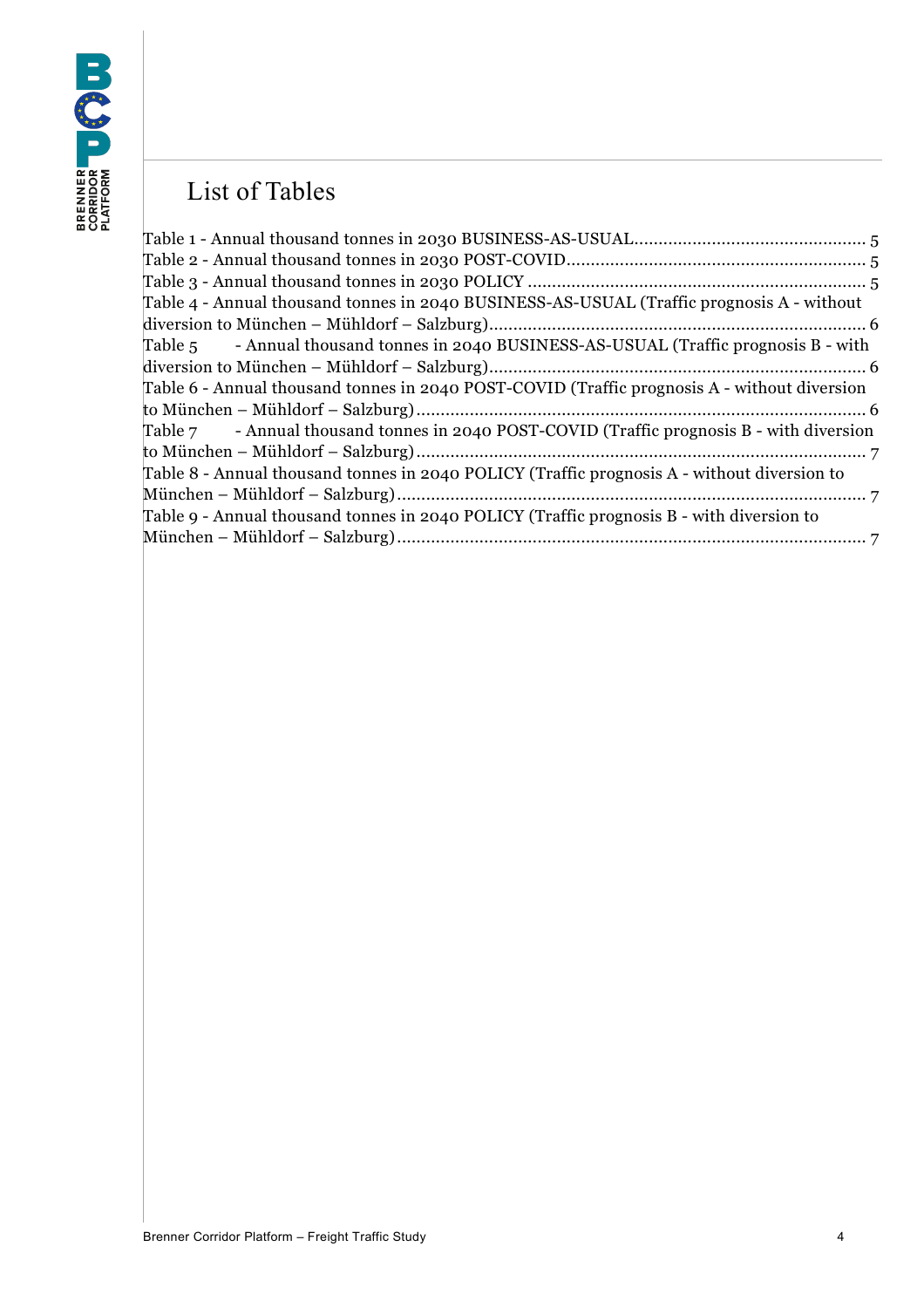# List of Tables

| Table 4 - Annual thousand tonnes in 2040 BUSINESS-AS-USUAL (Traffic prognosis A - without    |  |
|----------------------------------------------------------------------------------------------|--|
|                                                                                              |  |
| Table 5 - Annual thousand tonnes in 2040 BUSINESS-AS-USUAL (Traffic prognosis B - with       |  |
|                                                                                              |  |
| Table 6 - Annual thousand tonnes in 2040 POST-COVID (Traffic prognosis A - without diversion |  |
|                                                                                              |  |
| Table $7$ - Annual thousand tonnes in 2040 POST-COVID (Traffic prognosis B - with diversion  |  |
|                                                                                              |  |
| Table 8 - Annual thousand tonnes in 2040 POLICY (Traffic prognosis A - without diversion to  |  |
|                                                                                              |  |
| Table 9 - Annual thousand tonnes in 2040 POLICY (Traffic prognosis B - with diversion to     |  |
|                                                                                              |  |
|                                                                                              |  |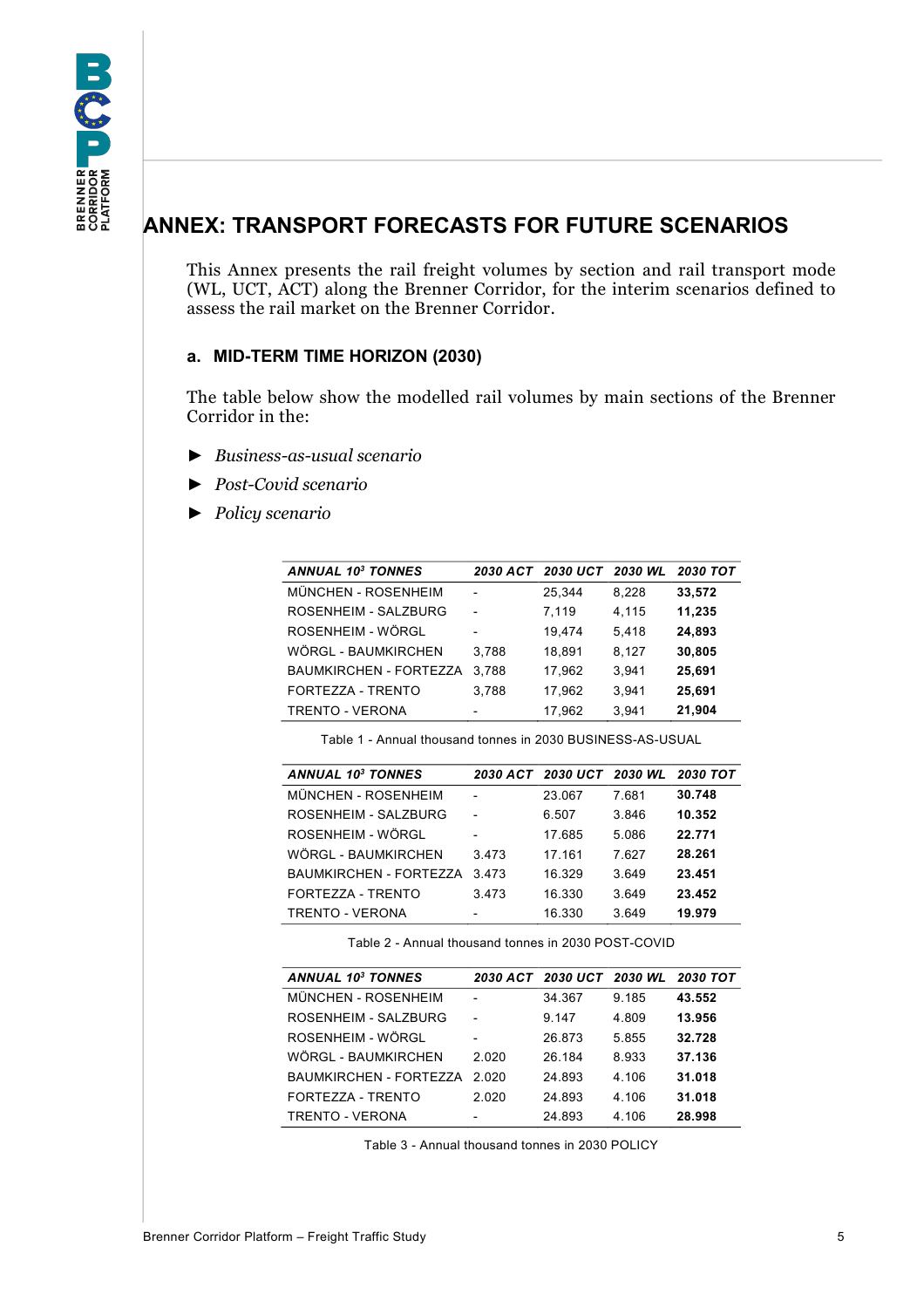## <span id="page-4-0"></span>**ANNEX: TRANSPORT FORECASTS FOR FUTURE SCENARIOS**

This Annex presents the rail freight volumes by section and rail transport mode (WL, UCT, ACT) along the Brenner Corridor, for the interim scenarios defined to assess the rail market on the Brenner Corridor.

## <span id="page-4-1"></span>**a. MID-TERM TIME HORIZON (2030)**

The table below show the modelled rail volumes by main sections of the Brenner Corridor in the:

- ► *Business-as-usual scenario*
- ► *Post-Covid scenario*
- ► *Policy scenario*

| <b>ANNUAL 103 TONNES</b> | <b>2030 ACT</b>          | <b>2030 UCT</b> | 2030 WL | <b>2030 TOT</b> |
|--------------------------|--------------------------|-----------------|---------|-----------------|
| MÜNCHEN - ROSENHEIM      |                          | 25.344          | 8,228   | 33,572          |
| ROSENHEIM - SALZBURG     | $\blacksquare$           | 7.119           | 4,115   | 11,235          |
| ROSENHEIM - WÖRGL        | $\blacksquare$           | 19.474          | 5,418   | 24,893          |
| WÖRGL - BAUMKIRCHEN      | 3.788                    | 18,891          | 8,127   | 30,805          |
| BAUMKIRCHEN - FORTEZZA   | 3.788                    | 17.962          | 3.941   | 25,691          |
| FORTEZZA - TRENTO        | 3.788                    | 17.962          | 3.941   | 25,691          |
| <b>TRENTO - VERONA</b>   | $\overline{\phantom{0}}$ | 17,962          | 3,941   | 21,904          |

Table 1 - Annual thousand tonnes in 2030 BUSINESS-AS-USUAL

<span id="page-4-2"></span>

| <b>ANNUAL 103 TONNES</b> |                | 2030 ACT 2030 UCT 2030 WL |       | <b>2030 TOT</b> |
|--------------------------|----------------|---------------------------|-------|-----------------|
| MÜNCHEN - ROSENHEIM      |                | 23.067                    | 7.681 | 30.748          |
| ROSENHEIM - SALZBURG     | $\blacksquare$ | 6.507                     | 3.846 | 10.352          |
| ROSENHEIM - WÖRGL        |                | 17.685                    | 5.086 | 22.771          |
| WÖRGL - BAUMKIRCHEN      | 3.473          | 17.161                    | 7.627 | 28.261          |
| BAUMKIRCHEN - FORTEZZA   | 3473           | 16.329                    | 3.649 | 23.451          |
| FORTEZZA - TRENTO        | 3.473          | 16.330                    | 3.649 | 23.452          |
| TRENTO - VERONA          | $\overline{a}$ | 16.330                    | 3.649 | 19.979          |

Table 2 - Annual thousand tonnes in 2030 POST-COVID

<span id="page-4-4"></span><span id="page-4-3"></span>

| <b>ANNUAL 10<sup>3</sup> TONNES</b> |                          | 2030 ACT 2030 UCT 2030 WL 2030 TOT |       |        |
|-------------------------------------|--------------------------|------------------------------------|-------|--------|
| MÜNCHEN - ROSENHEIM                 |                          | 34.367                             | 9.185 | 43.552 |
| ROSENHEIM - SAI ZBURG               |                          | 9.147                              | 4.809 | 13.956 |
| ROSENHEIM - WÖRGL                   | $\overline{\phantom{0}}$ | 26.873                             | 5.855 | 32.728 |
| WÖRGL - BAUMKIRCHEN                 | 2.020                    | 26 184                             | 8.933 | 37.136 |
| BAUMKIRCHEN - FORTEZZA              | 2.020                    | 24.893                             | 4.106 | 31.018 |
| FORTEZZA - TRENTO                   | 2.020                    | 24.893                             | 4.106 | 31.018 |
| TRENTO - VERONA                     |                          | 24.893                             | 4.106 | 28.998 |

Table 3 - Annual thousand tonnes in 2030 POLICY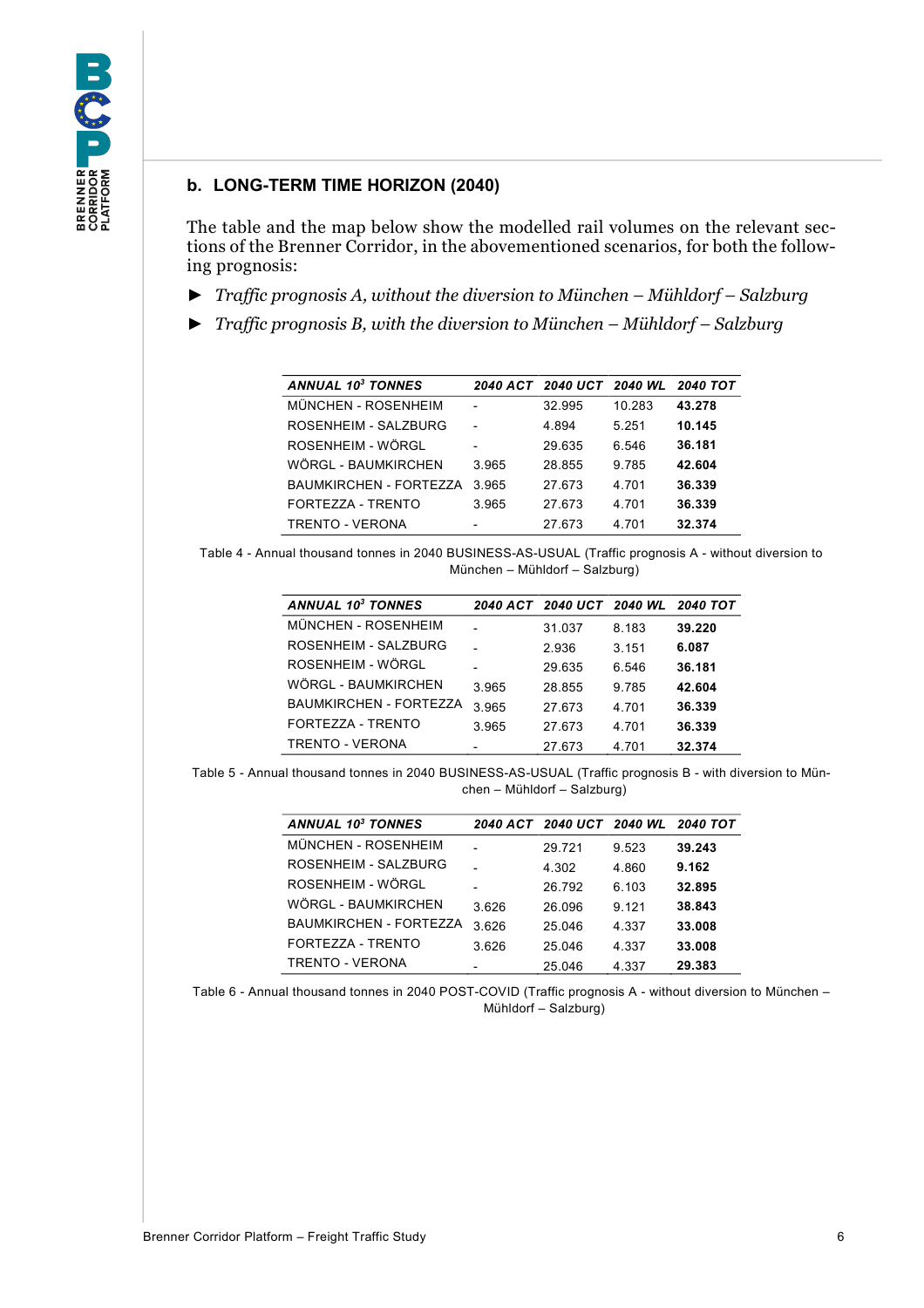### <span id="page-5-0"></span>**b. LONG-TERM TIME HORIZON (2040)**

The table and the map below show the modelled rail volumes on the relevant sections of the Brenner Corridor, in the abovementioned scenarios, for both the following prognosis:

- ► *Traffic prognosis A, without the diversion to München – Mühldorf – Salzburg*
- ► *Traffic prognosis B, with the diversion to München – Mühldorf – Salzburg*

| <b>ANNUAL 103 TONNES</b> |                | 2040 ACT 2040 UCT 2040 WL |         | <b>2040 TOT</b> |
|--------------------------|----------------|---------------------------|---------|-----------------|
| MÜNCHEN - ROSENHEIM      |                | 32.995                    | 10.283  | 43.278          |
| ROSENHEIM - SAI ZBURG    |                | 4.894                     | 5 251   | 10.145          |
| ROSENHEIM - WÖRGI        | $\blacksquare$ | 29.635                    | 6.546   | 36.181          |
| WÖRGL - BAUMKIRCHEN      | 3.965          | 28.855                    | 9 7 8 5 | 42.604          |
| BAUMKIRCHEN - FORTEZZA   | 3 965          | 27 673                    | 4 701   | 36.339          |
| FORTEZZA - TRENTO        | 3.965          | 27.673                    | 4 701   | 36.339          |
| TRENTO - VERONA          | $\blacksquare$ | 27.673                    | 4.701   | 32.374          |

<span id="page-5-1"></span>Table 4 - Annual thousand tonnes in 2040 BUSINESS-AS-USUAL (Traffic prognosis A - without diversion to München – Mühldorf – Salzburg)

| <b>ANNUAL 10<sup>3</sup> TONNES</b> |                | 2040 ACT 2040 UCT 2040 WL 2040 TOT |       |        |
|-------------------------------------|----------------|------------------------------------|-------|--------|
| MÜNCHEN - ROSENHEIM                 |                | 31.037                             | 8.183 | 39.220 |
| ROSENHEIM - SALZBURG                |                | 2.936                              | 3.151 | 6.087  |
| ROSENHEIM - WÖRGL                   |                | 29.635                             | 6.546 | 36.181 |
| WÖRGL - BAUMKIRCHEN                 | 3.965          | 28.855                             | 9.785 | 42.604 |
| BAUMKIRCHEN - FORTEZZA              | 3.965          | 27.673                             | 4.701 | 36.339 |
| FORTEZZA - TRENTO                   | 3.965          | 27.673                             | 4.701 | 36.339 |
| TRENTO - VERONA                     | $\overline{a}$ | 27.673                             | 4.701 | 32.374 |

<span id="page-5-2"></span>Table 5 - Annual thousand tonnes in 2040 BUSINESS-AS-USUAL (Traffic prognosis B - with diversion to München – Mühldorf – Salzburg)

| <b>ANNUAL 103 TONNES</b>      |                          | 2040 ACT 2040 UCT 2040 WL |         | <b>2040 TOT</b> |
|-------------------------------|--------------------------|---------------------------|---------|-----------------|
| MÜNCHEN - ROSENHEIM           |                          | 29.721                    | 9.523   | 39.243          |
| ROSENHEIM - SALZBURG          |                          | 4.302                     | 4.860   | 9.162           |
| ROSENHEIM - WÖRGL             |                          | 26.792                    | 6.103   | 32.895          |
| WÖRGL - BAUMKIRCHEN           | 3.626                    | 26.096                    | 9 1 2 1 | 38.843          |
| <b>BAUMKIRCHEN - FORTEZZA</b> | 3.626                    | 25.046                    | 4.337   | 33.008          |
| FORTEZZA - TRENTO             | 3.626                    | 25.046                    | 4.337   | 33.008          |
| TRENTO - VERONA               | $\overline{\phantom{0}}$ | 25.046                    | 4.337   | 29.383          |

<span id="page-5-3"></span>Table 6 - Annual thousand tonnes in 2040 POST-COVID (Traffic prognosis A - without diversion to München – Mühldorf – Salzburg)